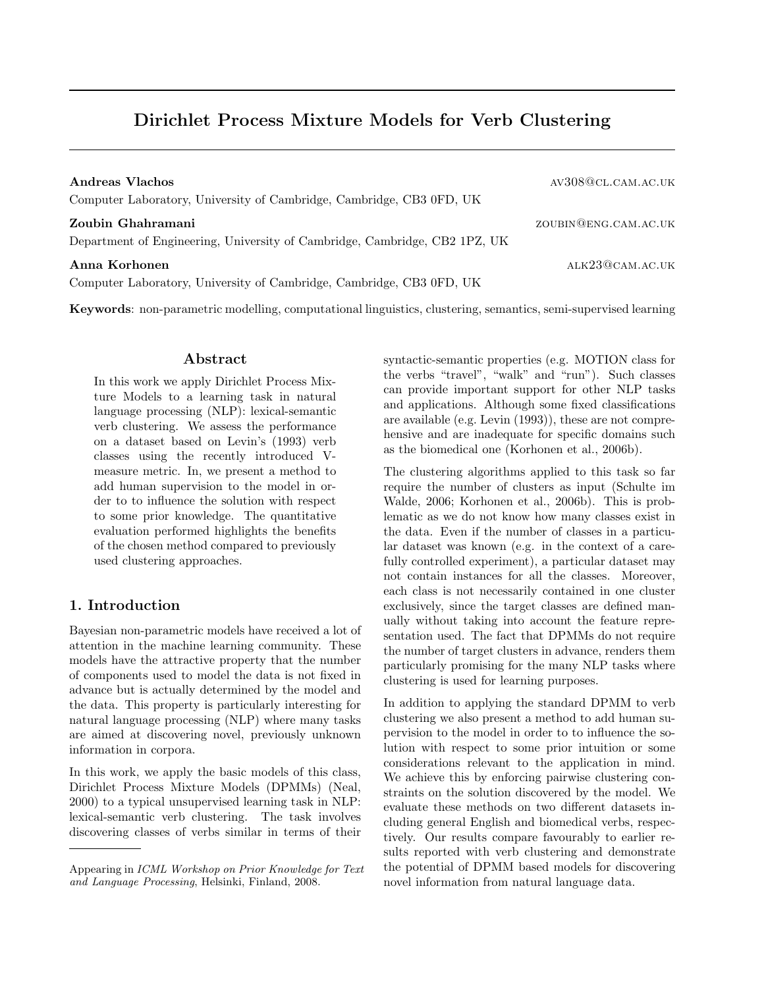# Dirichlet Process Mixture Models for Verb Clustering

| Andreas Vlachos<br>Computer Laboratory, University of Cambridge, Cambridge, CB3 0FD, UK         | AV308@CL.CAM.AC.UK   |
|-------------------------------------------------------------------------------------------------|----------------------|
| Zoubin Ghahramani<br>Department of Engineering, University of Cambridge, Cambridge, CB2 1PZ, UK | ZOUBIN@ENG.CAM.AC.UK |
| Anna Korhonen<br>Computer Laboratory, University of Cambridge, Cambridge, CB3 0FD, UK           | ALK23@CAM.AC.UK      |

Keywords: non-parametric modelling, computational linguistics, clustering, semantics, semi-supervised learning

### Abstract

In this work we apply Dirichlet Process Mixture Models to a learning task in natural language processing (NLP): lexical-semantic verb clustering. We assess the performance on a dataset based on Levin's (1993) verb classes using the recently introduced Vmeasure metric. In, we present a method to add human supervision to the model in order to to influence the solution with respect to some prior knowledge. The quantitative evaluation performed highlights the benefits of the chosen method compared to previously used clustering approaches.

# 1. Introduction

Bayesian non-parametric models have received a lot of attention in the machine learning community. These models have the attractive property that the number of components used to model the data is not fixed in advance but is actually determined by the model and the data. This property is particularly interesting for natural language processing (NLP) where many tasks are aimed at discovering novel, previously unknown information in corpora.

In this work, we apply the basic models of this class, Dirichlet Process Mixture Models (DPMMs) (Neal, 2000) to a typical unsupervised learning task in NLP: lexical-semantic verb clustering. The task involves discovering classes of verbs similar in terms of their syntactic-semantic properties (e.g. MOTION class for the verbs "travel", "walk" and "run"). Such classes can provide important support for other NLP tasks and applications. Although some fixed classifications are available (e.g. Levin (1993)), these are not comprehensive and are inadequate for specific domains such as the biomedical one (Korhonen et al., 2006b).

The clustering algorithms applied to this task so far require the number of clusters as input (Schulte im Walde, 2006; Korhonen et al., 2006b). This is problematic as we do not know how many classes exist in the data. Even if the number of classes in a particular dataset was known (e.g. in the context of a carefully controlled experiment), a particular dataset may not contain instances for all the classes. Moreover, each class is not necessarily contained in one cluster exclusively, since the target classes are defined manually without taking into account the feature representation used. The fact that DPMMs do not require the number of target clusters in advance, renders them particularly promising for the many NLP tasks where clustering is used for learning purposes.

In addition to applying the standard DPMM to verb clustering we also present a method to add human supervision to the model in order to to influence the solution with respect to some prior intuition or some considerations relevant to the application in mind. We achieve this by enforcing pairwise clustering constraints on the solution discovered by the model. We evaluate these methods on two different datasets including general English and biomedical verbs, respectively. Our results compare favourably to earlier results reported with verb clustering and demonstrate the potential of DPMM based models for discovering novel information from natural language data.

Appearing in ICML Workshop on Prior Knowledge for Text and Language Processing, Helsinki, Finland, 2008.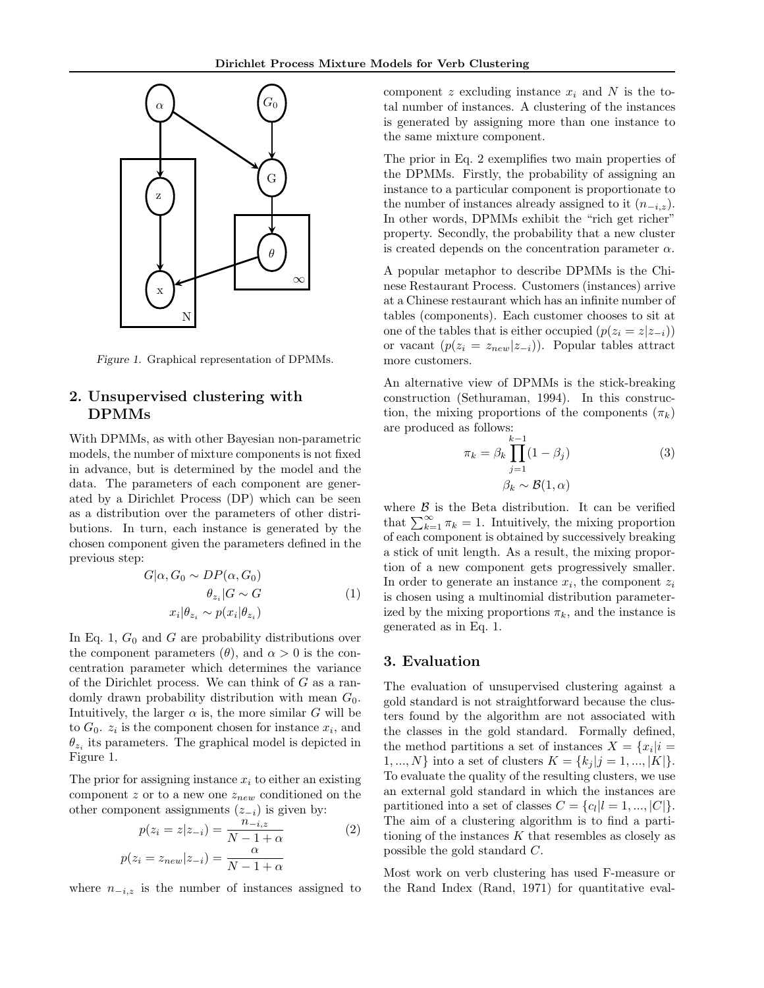

Figure 1. Graphical representation of DPMMs.

# 2. Unsupervised clustering with DPMMs

With DPMMs, as with other Bayesian non-parametric models, the number of mixture components is not fixed in advance, but is determined by the model and the data. The parameters of each component are generated by a Dirichlet Process (DP) which can be seen as a distribution over the parameters of other distributions. In turn, each instance is generated by the chosen component given the parameters defined in the previous step:

$$
G|\alpha, G_0 \sim DP(\alpha, G_0)
$$
  
\n
$$
\theta_{z_i}|G \sim G
$$
  
\n
$$
x_i|\theta_{z_i} \sim p(x_i|\theta_{z_i})
$$
\n(1)

In Eq. 1,  $G_0$  and  $G$  are probability distributions over the component parameters  $(\theta)$ , and  $\alpha > 0$  is the concentration parameter which determines the variance of the Dirichlet process. We can think of  $G$  as a randomly drawn probability distribution with mean  $G_0$ . Intuitively, the larger  $\alpha$  is, the more similar G will be to  $G_0$ .  $z_i$  is the component chosen for instance  $x_i$ , and  $\theta_{z_i}$  its parameters. The graphical model is depicted in Figure 1.

The prior for assigning instance  $x_i$  to either an existing component  $z$  or to a new one  $z_{new}$  conditioned on the other component assignments  $(z_{-i})$  is given by:

$$
p(z_i = z | z_{-i}) = \frac{n_{-i,z}}{N - 1 + \alpha}
$$

$$
p(z_i = z_{new} | z_{-i}) = \frac{\alpha}{N - 1 + \alpha}
$$

$$
(2)
$$

where  $n_{-i,z}$  is the number of instances assigned to

component  $z$  excluding instance  $x_i$  and  $N$  is the total number of instances. A clustering of the instances is generated by assigning more than one instance to the same mixture component.

The prior in Eq. 2 exemplifies two main properties of the DPMMs. Firstly, the probability of assigning an instance to a particular component is proportionate to the number of instances already assigned to it  $(n_{-i,z})$ . In other words, DPMMs exhibit the "rich get richer" property. Secondly, the probability that a new cluster is created depends on the concentration parameter  $\alpha$ .

A popular metaphor to describe DPMMs is the Chinese Restaurant Process. Customers (instances) arrive at a Chinese restaurant which has an infinite number of tables (components). Each customer chooses to sit at one of the tables that is either occupied  $(p(z_i = z|z_{-i}))$ or vacant  $(p(z_i = z_{new}|z_{-i}))$ . Popular tables attract more customers.

An alternative view of DPMMs is the stick-breaking construction (Sethuraman, 1994). In this construction, the mixing proportions of the components  $(\pi_k)$ are produced as follows:

$$
\pi_k = \beta_k \prod_{j=1}^{k-1} (1 - \beta_j)
$$
\n
$$
\beta_k \sim \mathcal{B}(1, \alpha)
$$
\n(3)

where  $\beta$  is the Beta distribution. It can be verified that  $\sum_{k=1}^{\infty} \pi_k = 1$ . Intuitively, the mixing proportion of each component is obtained by successively breaking a stick of unit length. As a result, the mixing proportion of a new component gets progressively smaller. In order to generate an instance  $x_i$ , the component  $z_i$ is chosen using a multinomial distribution parameterized by the mixing proportions  $\pi_k$ , and the instance is generated as in Eq. 1.

# 3. Evaluation

The evaluation of unsupervised clustering against a gold standard is not straightforward because the clusters found by the algorithm are not associated with the classes in the gold standard. Formally defined, the method partitions a set of instances  $X = \{x_i | i =$  $1, ..., N$  into a set of clusters  $K = \{k_j | j = 1, ..., |K|\}.$ To evaluate the quality of the resulting clusters, we use an external gold standard in which the instances are partitioned into a set of classes  $C = \{c_l | l = 1, ..., |C|\}.$ The aim of a clustering algorithm is to find a partitioning of the instances  $K$  that resembles as closely as possible the gold standard C.

Most work on verb clustering has used F-measure or the Rand Index (Rand, 1971) for quantitative eval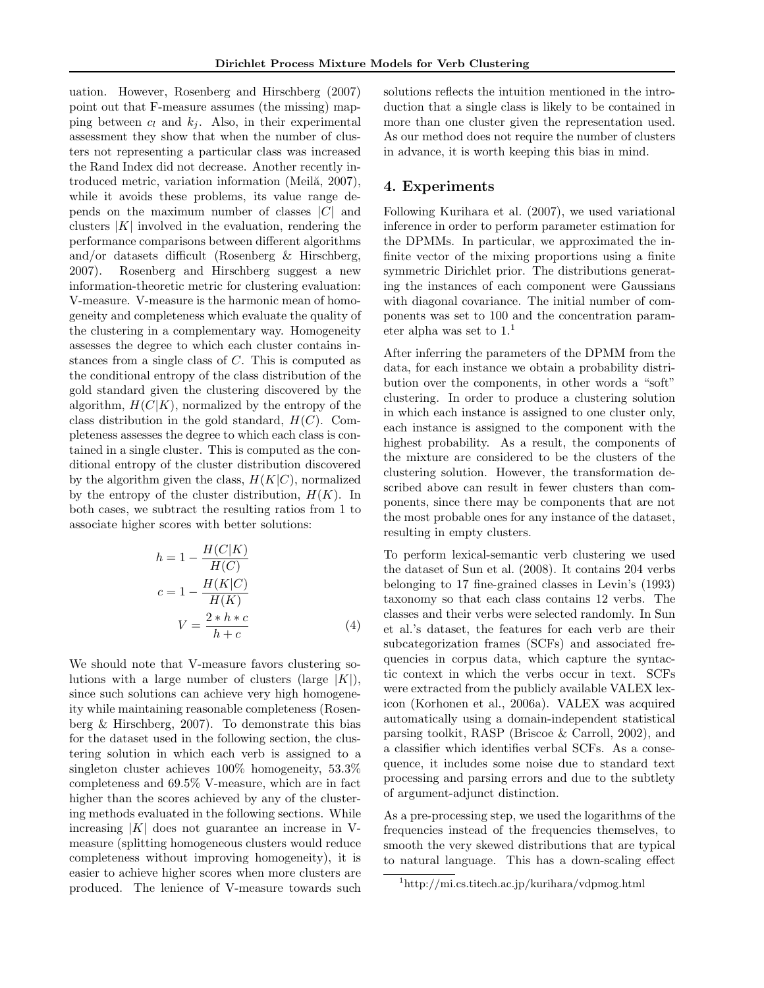uation. However, Rosenberg and Hirschberg (2007) point out that F-measure assumes (the missing) mapping between  $c_l$  and  $k_j$ . Also, in their experimental assessment they show that when the number of clusters not representing a particular class was increased the Rand Index did not decrease. Another recently introduced metric, variation information (Meilă, 2007), while it avoids these problems, its value range depends on the maximum number of classes  $|C|$  and clusters  $|K|$  involved in the evaluation, rendering the performance comparisons between different algorithms and/or datasets difficult (Rosenberg & Hirschberg, 2007). Rosenberg and Hirschberg suggest a new information-theoretic metric for clustering evaluation: V-measure. V-measure is the harmonic mean of homogeneity and completeness which evaluate the quality of the clustering in a complementary way. Homogeneity assesses the degree to which each cluster contains instances from a single class of C. This is computed as the conditional entropy of the class distribution of the gold standard given the clustering discovered by the algorithm,  $H(C|K)$ , normalized by the entropy of the class distribution in the gold standard,  $H(C)$ . Completeness assesses the degree to which each class is contained in a single cluster. This is computed as the conditional entropy of the cluster distribution discovered by the algorithm given the class,  $H(K|C)$ , normalized by the entropy of the cluster distribution,  $H(K)$ . In both cases, we subtract the resulting ratios from 1 to associate higher scores with better solutions:

$$
h = 1 - \frac{H(C|K)}{H(C)}
$$
  
\n
$$
c = 1 - \frac{H(K|C)}{H(K)}
$$
  
\n
$$
V = \frac{2 * h * c}{h + c}
$$
 (4)

We should note that V-measure favors clustering solutions with a large number of clusters (large  $|K|$ ), since such solutions can achieve very high homogeneity while maintaining reasonable completeness (Rosenberg & Hirschberg, 2007). To demonstrate this bias for the dataset used in the following section, the clustering solution in which each verb is assigned to a singleton cluster achieves 100% homogeneity, 53.3% completeness and 69.5% V-measure, which are in fact higher than the scores achieved by any of the clustering methods evaluated in the following sections. While increasing  $|K|$  does not guarantee an increase in Vmeasure (splitting homogeneous clusters would reduce completeness without improving homogeneity), it is easier to achieve higher scores when more clusters are produced. The lenience of V-measure towards such solutions reflects the intuition mentioned in the introduction that a single class is likely to be contained in more than one cluster given the representation used. As our method does not require the number of clusters in advance, it is worth keeping this bias in mind.

#### 4. Experiments

Following Kurihara et al. (2007), we used variational inference in order to perform parameter estimation for the DPMMs. In particular, we approximated the infinite vector of the mixing proportions using a finite symmetric Dirichlet prior. The distributions generating the instances of each component were Gaussians with diagonal covariance. The initial number of components was set to 100 and the concentration parameter alpha was set to  $1<sup>1</sup>$ 

After inferring the parameters of the DPMM from the data, for each instance we obtain a probability distribution over the components, in other words a "soft" clustering. In order to produce a clustering solution in which each instance is assigned to one cluster only, each instance is assigned to the component with the highest probability. As a result, the components of the mixture are considered to be the clusters of the clustering solution. However, the transformation described above can result in fewer clusters than components, since there may be components that are not the most probable ones for any instance of the dataset, resulting in empty clusters.

To perform lexical-semantic verb clustering we used the dataset of Sun et al. (2008). It contains 204 verbs belonging to 17 fine-grained classes in Levin's (1993) taxonomy so that each class contains 12 verbs. The classes and their verbs were selected randomly. In Sun et al.'s dataset, the features for each verb are their subcategorization frames (SCFs) and associated frequencies in corpus data, which capture the syntactic context in which the verbs occur in text. SCFs were extracted from the publicly available VALEX lexicon (Korhonen et al., 2006a). VALEX was acquired automatically using a domain-independent statistical parsing toolkit, RASP (Briscoe & Carroll, 2002), and a classifier which identifies verbal SCFs. As a consequence, it includes some noise due to standard text processing and parsing errors and due to the subtlety of argument-adjunct distinction.

As a pre-processing step, we used the logarithms of the frequencies instead of the frequencies themselves, to smooth the very skewed distributions that are typical to natural language. This has a down-scaling effect

<sup>1</sup>http://mi.cs.titech.ac.jp/kurihara/vdpmog.html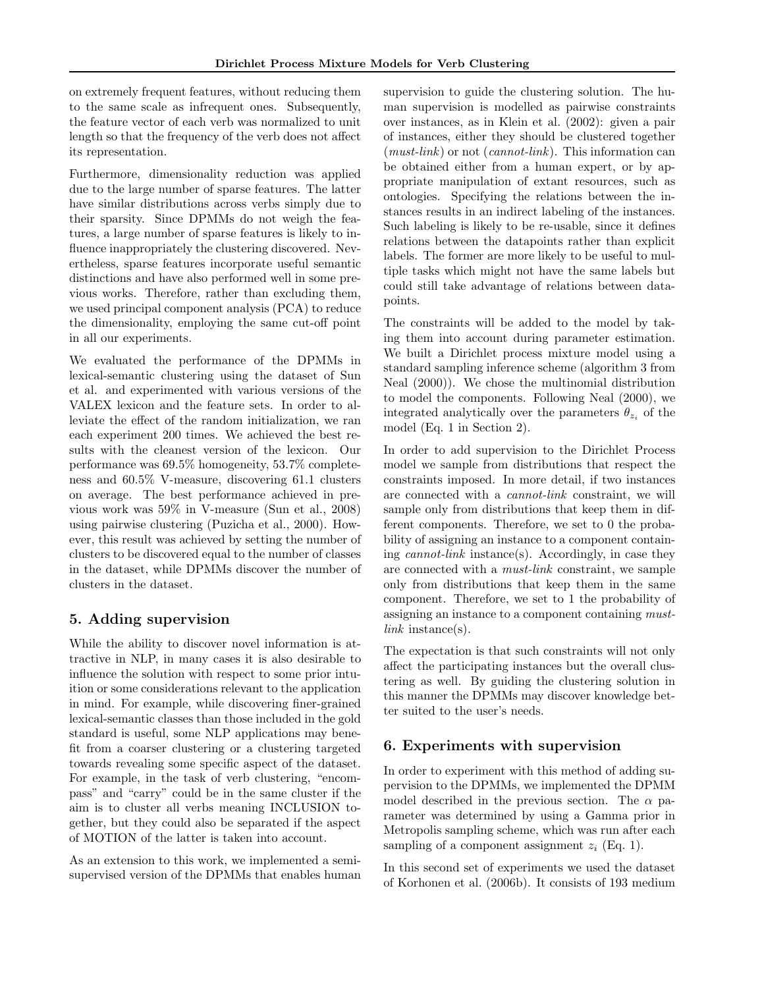on extremely frequent features, without reducing them to the same scale as infrequent ones. Subsequently, the feature vector of each verb was normalized to unit length so that the frequency of the verb does not affect its representation.

Furthermore, dimensionality reduction was applied due to the large number of sparse features. The latter have similar distributions across verbs simply due to their sparsity. Since DPMMs do not weigh the features, a large number of sparse features is likely to influence inappropriately the clustering discovered. Nevertheless, sparse features incorporate useful semantic distinctions and have also performed well in some previous works. Therefore, rather than excluding them, we used principal component analysis (PCA) to reduce the dimensionality, employing the same cut-off point in all our experiments.

We evaluated the performance of the DPMMs in lexical-semantic clustering using the dataset of Sun et al. and experimented with various versions of the VALEX lexicon and the feature sets. In order to alleviate the effect of the random initialization, we ran each experiment 200 times. We achieved the best results with the cleanest version of the lexicon. Our performance was 69.5% homogeneity, 53.7% completeness and 60.5% V-measure, discovering 61.1 clusters on average. The best performance achieved in previous work was 59% in V-measure (Sun et al., 2008) using pairwise clustering (Puzicha et al., 2000). However, this result was achieved by setting the number of clusters to be discovered equal to the number of classes in the dataset, while DPMMs discover the number of clusters in the dataset.

# 5. Adding supervision

While the ability to discover novel information is attractive in NLP, in many cases it is also desirable to influence the solution with respect to some prior intuition or some considerations relevant to the application in mind. For example, while discovering finer-grained lexical-semantic classes than those included in the gold standard is useful, some NLP applications may benefit from a coarser clustering or a clustering targeted towards revealing some specific aspect of the dataset. For example, in the task of verb clustering, "encompass" and "carry" could be in the same cluster if the aim is to cluster all verbs meaning INCLUSION together, but they could also be separated if the aspect of MOTION of the latter is taken into account.

As an extension to this work, we implemented a semisupervised version of the DPMMs that enables human supervision to guide the clustering solution. The human supervision is modelled as pairwise constraints over instances, as in Klein et al. (2002): given a pair of instances, either they should be clustered together  $(must-link)$  or not  $(cannot-link)$ . This information can be obtained either from a human expert, or by appropriate manipulation of extant resources, such as ontologies. Specifying the relations between the instances results in an indirect labeling of the instances. Such labeling is likely to be re-usable, since it defines relations between the datapoints rather than explicit labels. The former are more likely to be useful to multiple tasks which might not have the same labels but could still take advantage of relations between datapoints.

The constraints will be added to the model by taking them into account during parameter estimation. We built a Dirichlet process mixture model using a standard sampling inference scheme (algorithm 3 from Neal (2000)). We chose the multinomial distribution to model the components. Following Neal (2000), we integrated analytically over the parameters  $\theta_{z_i}$  of the model (Eq. 1 in Section 2).

In order to add supervision to the Dirichlet Process model we sample from distributions that respect the constraints imposed. In more detail, if two instances are connected with a cannot-link constraint, we will sample only from distributions that keep them in different components. Therefore, we set to 0 the probability of assigning an instance to a component containing cannot-link instance(s). Accordingly, in case they are connected with a must-link constraint, we sample only from distributions that keep them in the same component. Therefore, we set to 1 the probability of assigning an instance to a component containing mustlink instance(s).

The expectation is that such constraints will not only affect the participating instances but the overall clustering as well. By guiding the clustering solution in this manner the DPMMs may discover knowledge better suited to the user's needs.

#### 6. Experiments with supervision

In order to experiment with this method of adding supervision to the DPMMs, we implemented the DPMM model described in the previous section. The  $\alpha$  parameter was determined by using a Gamma prior in Metropolis sampling scheme, which was run after each sampling of a component assignment  $z_i$  (Eq. 1).

In this second set of experiments we used the dataset of Korhonen et al. (2006b). It consists of 193 medium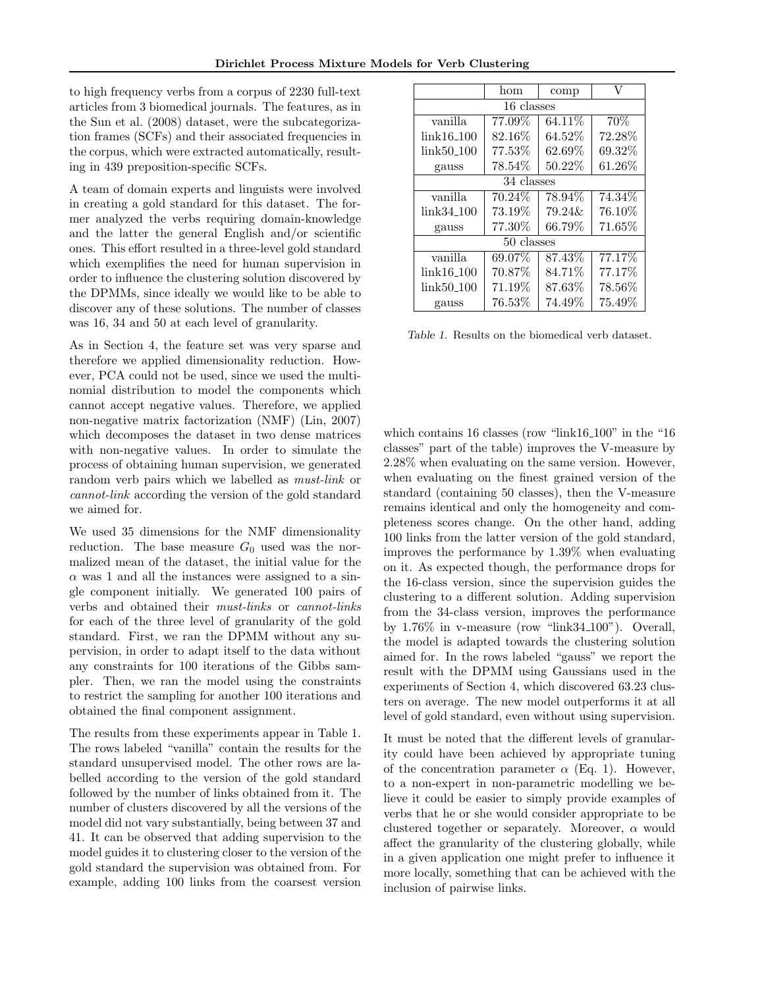to high frequency verbs from a corpus of 2230 full-text articles from 3 biomedical journals. The features, as in the Sun et al. (2008) dataset, were the subcategorization frames (SCFs) and their associated frequencies in the corpus, which were extracted automatically, resulting in 439 preposition-specific SCFs.

A team of domain experts and linguists were involved in creating a gold standard for this dataset. The former analyzed the verbs requiring domain-knowledge and the latter the general English and/or scientific ones. This effort resulted in a three-level gold standard which exemplifies the need for human supervision in order to influence the clustering solution discovered by the DPMMs, since ideally we would like to be able to discover any of these solutions. The number of classes was 16, 34 and 50 at each level of granularity.

As in Section 4, the feature set was very sparse and therefore we applied dimensionality reduction. However, PCA could not be used, since we used the multinomial distribution to model the components which cannot accept negative values. Therefore, we applied non-negative matrix factorization (NMF) (Lin, 2007) which decomposes the dataset in two dense matrices with non-negative values. In order to simulate the process of obtaining human supervision, we generated random verb pairs which we labelled as must-link or cannot-link according the version of the gold standard we aimed for.

We used 35 dimensions for the NMF dimensionality reduction. The base measure  $G_0$  used was the normalized mean of the dataset, the initial value for the  $\alpha$  was 1 and all the instances were assigned to a single component initially. We generated 100 pairs of verbs and obtained their must-links or cannot-links for each of the three level of granularity of the gold standard. First, we ran the DPMM without any supervision, in order to adapt itself to the data without any constraints for 100 iterations of the Gibbs sampler. Then, we ran the model using the constraints to restrict the sampling for another 100 iterations and obtained the final component assignment.

The results from these experiments appear in Table 1. The rows labeled "vanilla" contain the results for the standard unsupervised model. The other rows are labelled according to the version of the gold standard followed by the number of links obtained from it. The number of clusters discovered by all the versions of the model did not vary substantially, being between 37 and 41. It can be observed that adding supervision to the model guides it to clustering closer to the version of the gold standard the supervision was obtained from. For example, adding 100 links from the coarsest version

|                         | hom       | comp      |           |
|-------------------------|-----------|-----------|-----------|
| 16 classes              |           |           |           |
| vanilla                 | 77.09%    | 64.11\%   | 70%       |
| link16 <sub>-100</sub>  | 82.16\%   | 64.52%    | 72.28%    |
| link50 <sub>-100</sub>  | 77.53%    | 62.69%    | 69.32%    |
| gauss                   | $78.54\%$ | 50.22\%   | 61.26\%   |
| 34 classes              |           |           |           |
| vanilla                 | 70.24\%   | 78.94%    | 74.34%    |
| $link34_100$            | 73.19%    | $79.24\&$ | 76.10%    |
| gauss                   | 77.30%    | 66.79%    | $71.65\%$ |
| 50 classes              |           |           |           |
| vanilla                 | 69.07%    | 87.43%    | 77.17%    |
| $link16_100$            | 70.87%    | 84.71%    | 77.17%    |
| link50 <sub>-</sub> 100 | $71.19\%$ | $87.63\%$ | $78.56\%$ |
| gauss                   | $76.53\%$ | 74.49%    | 75.49%    |

Table 1. Results on the biomedical verb dataset.

which contains 16 classes (row "link16<sub>-100</sub>" in the "16 classes" part of the table) improves the V-measure by 2.28% when evaluating on the same version. However, when evaluating on the finest grained version of the standard (containing 50 classes), then the V-measure remains identical and only the homogeneity and completeness scores change. On the other hand, adding 100 links from the latter version of the gold standard, improves the performance by 1.39% when evaluating on it. As expected though, the performance drops for the 16-class version, since the supervision guides the clustering to a different solution. Adding supervision from the 34-class version, improves the performance by 1.76% in v-measure (row "link34 100"). Overall, the model is adapted towards the clustering solution aimed for. In the rows labeled "gauss" we report the result with the DPMM using Gaussians used in the experiments of Section 4, which discovered 63.23 clusters on average. The new model outperforms it at all level of gold standard, even without using supervision.

It must be noted that the different levels of granularity could have been achieved by appropriate tuning of the concentration parameter  $\alpha$  (Eq. 1). However, to a non-expert in non-parametric modelling we believe it could be easier to simply provide examples of verbs that he or she would consider appropriate to be clustered together or separately. Moreover,  $\alpha$  would affect the granularity of the clustering globally, while in a given application one might prefer to influence it more locally, something that can be achieved with the inclusion of pairwise links.